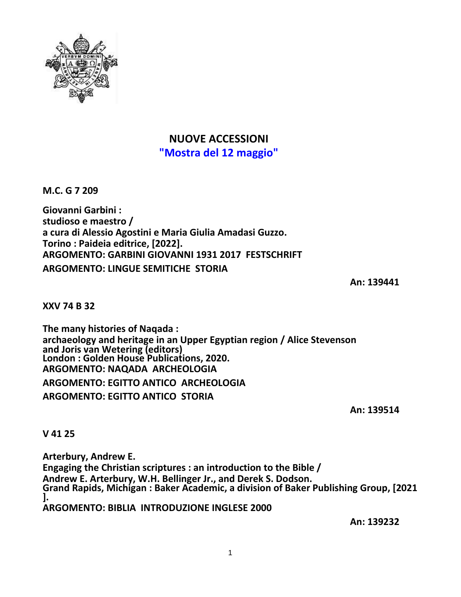

# **NUOVE ACCESSIONI "Mostra del 12 maggio"**

**M.C. G 7 209**

**Giovanni Garbini : studioso e maestro / a cura di Alessio Agostini e Maria Giulia Amadasi Guzzo. Torino : Paideia editrice, [2022]. ARGOMENTO: GARBINI GIOVANNI 1931 2017 FESTSCHRIFT ARGOMENTO: LINGUE SEMITICHE STORIA**

**An: 139441**

**XXV 74 B 32**

**The many histories of Naqada : archaeology and heritage in an Upper Egyptian region / Alice Stevenson and Joris van Wetering (editors) London : Golden House Publications, 2020. ARGOMENTO: NAQADA ARCHEOLOGIA**

**ARGOMENTO: EGITTO ANTICO ARCHEOLOGIA**

**ARGOMENTO: EGITTO ANTICO STORIA**

**An: 139514**

**V 41 25**

**Arterbury, Andrew E. Engaging the Christian scriptures : an introduction to the Bible / Andrew E. Arterbury, W.H. Bellinger Jr., and Derek S. Dodson. Grand Rapids, Michigan : Baker Academic, a division of Baker Publishing Group, [2021 ]. ARGOMENTO: BIBLIA INTRODUZIONE INGLESE 2000**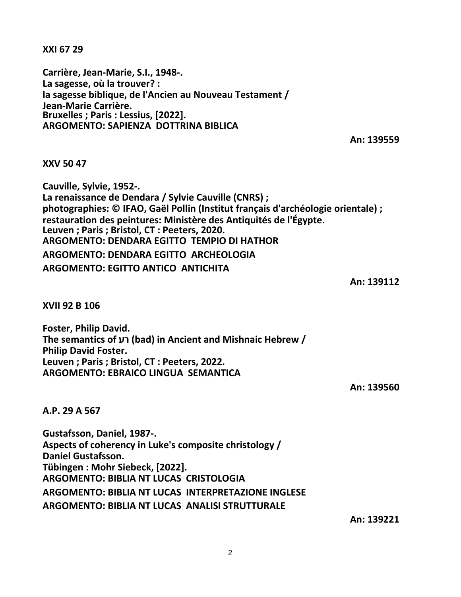**XXI 67 29**

**Carrière, Jean-Marie, S.I., 1948-. La sagesse, où la trouver? : la sagesse biblique, de l'Ancien au Nouveau Testament / Jean-Marie Carrière. Bruxelles ; Paris : Lessius, [2022]. ARGOMENTO: SAPIENZA DOTTRINA BIBLICA**

**An: 139559**

### **XXV 50 47**

**Cauville, Sylvie, 1952-. La renaissance de Dendara / Sylvie Cauville (CNRS) ; photographies: © IFAO, Gaël Pollin (Institut français d'archéologie orientale) ; restauration des peintures: Ministère des Antiquités de l'Égypte. Leuven ; Paris ; Bristol, CT : Peeters, 2020. ARGOMENTO: DENDARA EGITTO TEMPIO DI HATHOR ARGOMENTO: DENDARA EGITTO ARCHEOLOGIA ARGOMENTO: EGITTO ANTICO ANTICHITA**

**An: 139112**

**XVII 92 B 106**

**Foster, Philip David. The semantics of רע) bad) in Ancient and Mishnaic Hebrew / Philip David Foster. Leuven ; Paris ; Bristol, CT : Peeters, 2022. ARGOMENTO: EBRAICO LINGUA SEMANTICA**

**An: 139560**

#### **A.P. 29 A 567**

**Gustafsson, Daniel, 1987-. Aspects of coherency in Luke's composite christology / Daniel Gustafsson. Tübingen : Mohr Siebeck, [2022]. ARGOMENTO: BIBLIA NT LUCAS CRISTOLOGIA ARGOMENTO: BIBLIA NT LUCAS INTERPRETAZIONE INGLESE ARGOMENTO: BIBLIA NT LUCAS ANALISI STRUTTURALE**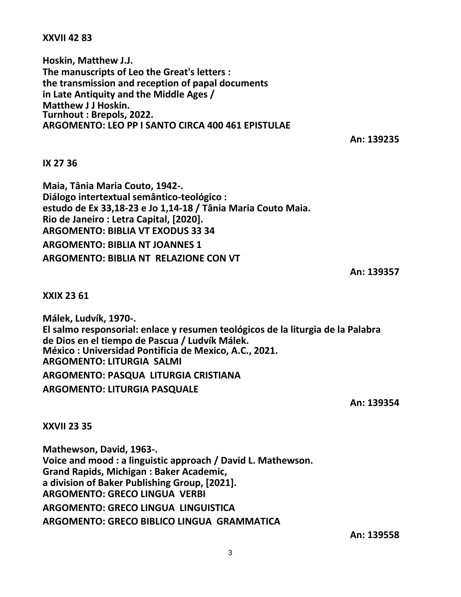## **XXVII 42 83**

**Hoskin, Matthew J.J. The manuscripts of Leo the Great's letters : the transmission and reception of papal documents in Late Antiquity and the Middle Ages / Matthew J J Hoskin. Turnhout : Brepols, 2022. ARGOMENTO: LEO PP I SANTO CIRCA 400 461 EPISTULAE**

**An: 139235**

### **IX 27 36**

**Maia, Tânia Maria Couto, 1942-. Diálogo intertextual semântico-teológico : estudo de Ex 33,18-23 e Jo 1,14-18 / Tânia Maria Couto Maia. Rio de Janeiro : Letra Capital, [2020]. ARGOMENTO: BIBLIA VT EXODUS 33 34 ARGOMENTO: BIBLIA NT JOANNES 1 ARGOMENTO: BIBLIA NT RELAZIONE CON VT**

**An: 139357**

**XXIX 23 61**

**Málek, Ludvík, 1970-. El salmo responsorial: enlace y resumen teológicos de la liturgia de la Palabra de Dios en el tiempo de Pascua / Ludvík Málek. México : Universidad Pontificia de Mexico, A.C., 2021. ARGOMENTO: LITURGIA SALMI ARGOMENTO: PASQUA LITURGIA CRISTIANA**

**ARGOMENTO: LITURGIA PASQUALE**

**An: 139354**

**XXVII 23 35**

**Mathewson, David, 1963-. Voice and mood : a linguistic approach / David L. Mathewson. Grand Rapids, Michigan : Baker Academic, a division of Baker Publishing Group, [2021]. ARGOMENTO: GRECO LINGUA VERBI ARGOMENTO: GRECO LINGUA LINGUISTICA ARGOMENTO: GRECO BIBLICO LINGUA GRAMMATICA**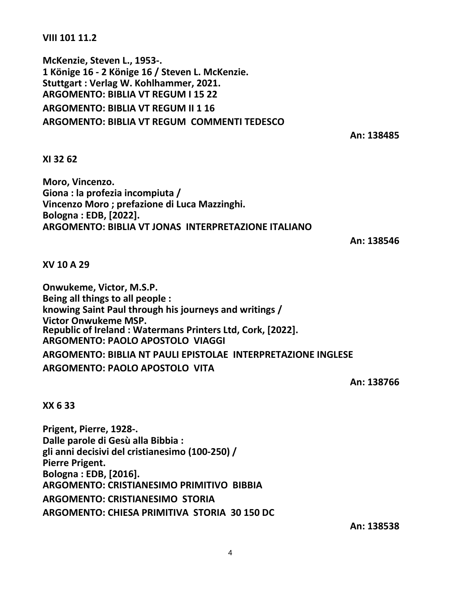**VIII 101 11.2**

**McKenzie, Steven L., 1953-. 1 Könige 16 - 2 Könige 16 / Steven L. McKenzie. Stuttgart : Verlag W. Kohlhammer, 2021. ARGOMENTO: BIBLIA VT REGUM I 15 22 ARGOMENTO: BIBLIA VT REGUM II 1 16 ARGOMENTO: BIBLIA VT REGUM COMMENTI TEDESCO**

**An: 138485**

### **XI 32 62**

**Moro, Vincenzo. Giona : la profezia incompiuta / Vincenzo Moro ; prefazione di Luca Mazzinghi. Bologna : EDB, [2022]. ARGOMENTO: BIBLIA VT JONAS INTERPRETAZIONE ITALIANO**

**An: 138546**

**XV 10 A 29**

**Onwukeme, Victor, M.S.P. Being all things to all people : knowing Saint Paul through his journeys and writings / Victor Onwukeme MSP. Republic of Ireland : Watermans Printers Ltd, Cork, [2022]. ARGOMENTO: PAOLO APOSTOLO VIAGGI ARGOMENTO: BIBLIA NT PAULI EPISTOLAE INTERPRETAZIONE INGLESE ARGOMENTO: PAOLO APOSTOLO VITA**

**An: 138766**

## **XX 6 33**

**Prigent, Pierre, 1928-. Dalle parole di Gesù alla Bibbia : gli anni decisivi del cristianesimo (100-250) / Pierre Prigent. Bologna : EDB, [2016]. ARGOMENTO: CRISTIANESIMO PRIMITIVO BIBBIA ARGOMENTO: CRISTIANESIMO STORIA ARGOMENTO: CHIESA PRIMITIVA STORIA 30 150 DC**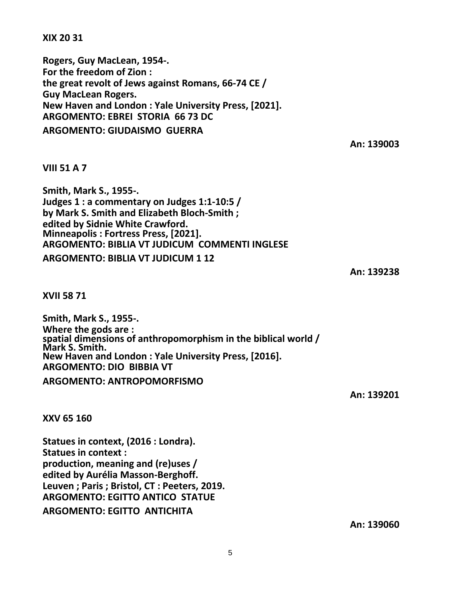**XIX 20 31**

**Rogers, Guy MacLean, 1954-. For the freedom of Zion : the great revolt of Jews against Romans, 66-74 CE / Guy MacLean Rogers. New Haven and London : Yale University Press, [2021]. ARGOMENTO: EBREI STORIA 66 73 DC ARGOMENTO: GIUDAISMO GUERRA**

**An: 139003**

## **VIII 51 A 7**

**Smith, Mark S., 1955-. Judges 1 : a commentary on Judges 1:1-10:5 / by Mark S. Smith and Elizabeth Bloch-Smith ; edited by Sidnie White Crawford. Minneapolis : Fortress Press, [2021]. ARGOMENTO: BIBLIA VT JUDICUM COMMENTI INGLESE ARGOMENTO: BIBLIA VT JUDICUM 1 12**

**An: 139238**

**XVII 58 71**

**Smith, Mark S., 1955-. Where the gods are : spatial dimensions of anthropomorphism in the biblical world / Mark S. Smith. New Haven and London : Yale University Press, [2016]. ARGOMENTO: DIO BIBBIA VT**

**ARGOMENTO: ANTROPOMORFISMO**

**An: 139201**

**XXV 65 160**

**Statues in context, (2016 : Londra). Statues in context : production, meaning and (re)uses / edited by Aurélia Masson-Berghoff. Leuven ; Paris ; Bristol, CT : Peeters, 2019. ARGOMENTO: EGITTO ANTICO STATUE ARGOMENTO: EGITTO ANTICHITA**